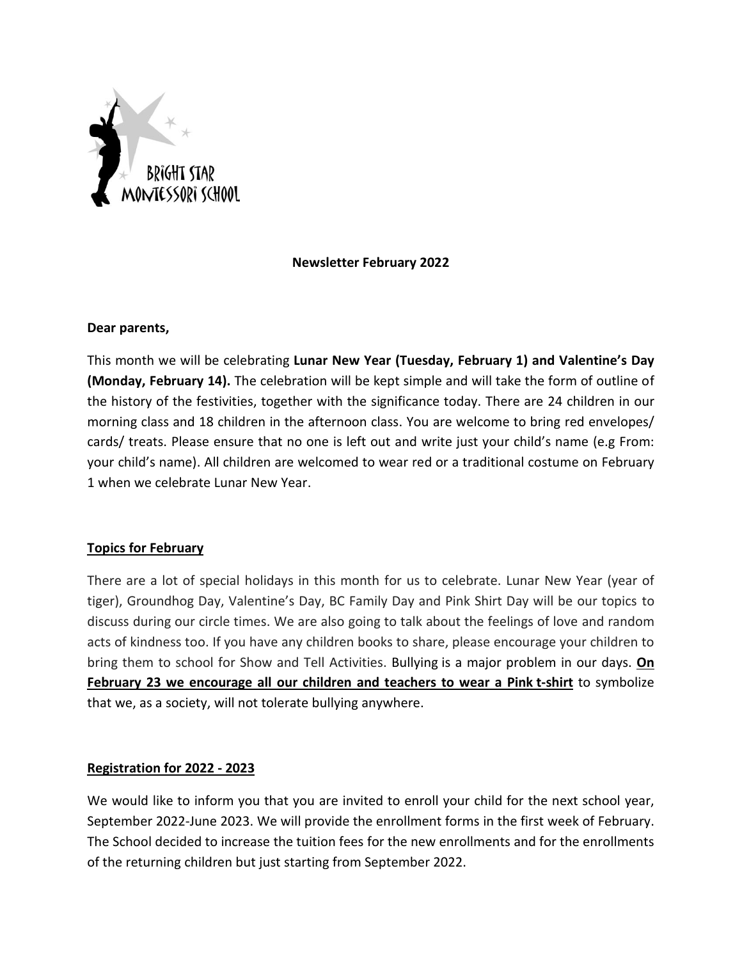

# **Newsletter February 2022**

## **Dear parents,**

This month we will be celebrating **Lunar New Year (Tuesday, February 1) and Valentine's Day (Monday, February 14).** The celebration will be kept simple and will take the form of outline of the history of the festivities, together with the significance today. There are 24 children in our morning class and 18 children in the afternoon class. You are welcome to bring red envelopes/ cards/ treats. Please ensure that no one is left out and write just your child's name (e.g From: your child's name). All children are welcomed to wear red or a traditional costume on February 1 when we celebrate Lunar New Year.

## **Topics for February**

There are a lot of special holidays in this month for us to celebrate. Lunar New Year (year of tiger), Groundhog Day, Valentine's Day, BC Family Day and Pink Shirt Day will be our topics to discuss during our circle times. We are also going to talk about the feelings of love and random acts of kindness too. If you have any children books to share, please encourage your children to bring them to school for Show and Tell Activities. Bullying is a major problem in our days. **On February 23 we encourage all our children and teachers to wear a Pink t-shirt** to symbolize that we, as a society, will not tolerate bullying anywhere.

## **Registration for 2022 - 2023**

We would like to inform you that you are invited to enroll your child for the next school year, September 2022-June 2023. We will provide the enrollment forms in the first week of February. The School decided to increase the tuition fees for the new enrollments and for the enrollments of the returning children but just starting from September 2022.